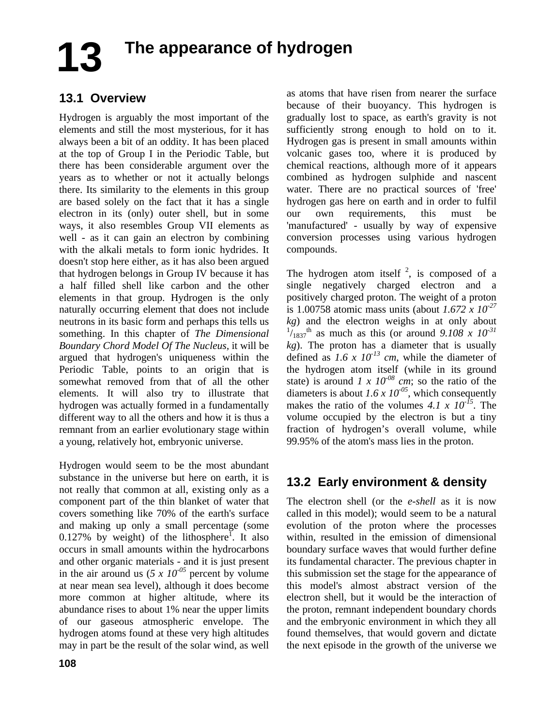# **The appearance of hydrogen 13**

## **13.1 Overview**

Hydrogen is arguably the most important of the elements and still the most mysterious, for it has always been a bit of an oddity. It has been placed at the top of Group I in the Periodic Table, but there has been considerable argument over the years as to whether or not it actually belongs there. Its similarity to the elements in this group are based solely on the fact that it has a single electron in its (only) outer shell, but in some ways, it also resembles Group VII elements as well - as it can gain an electron by combining with the alkali metals to form ionic hydrides. It doesn't stop here either, as it has also been argued that hydrogen belongs in Group IV because it has a half filled shell like carbon and the other elements in that group. Hydrogen is the only naturally occurring element that does not include neutrons in its basic form and perhaps this tells us something. In this chapter of *The Dimensional Boundary Chord Model Of The Nucleus,* it will be argued that hydrogen's uniqueness within the Periodic Table, points to an origin that is somewhat removed from that of all the other elements. It will also try to illustrate that hydrogen was actually formed in a fundamentally different way to all the others and how it is thus a remnant from an earlier evolutionary stage within a young, relatively hot, embryonic universe.

Hydrogen would seem to be the most abundant substance in the universe but here on earth, it is not really that common at all, existing only as a component part of the thin blanket of water that covers something like 70% of the earth's surface and making up only a small percentage (some 0.127% by weight) of the lithosphere<sup>1</sup>. It also occurs in small amounts within the hydrocarbons and other organic materials - and it is just present in the air around us ( $5 \times 10^{-05}$  percent by volume at near mean sea level), although it does become more common at higher altitude, where its abundance rises to about 1% near the upper limits of our gaseous atmospheric envelope. The hydrogen atoms found at these very high altitudes may in part be the result of the solar wind, as well

as atoms that have risen from nearer the surface because of their buoyancy. This hydrogen is gradually lost to space, as earth's gravity is not sufficiently strong enough to hold on to it. Hydrogen gas is present in small amounts within volcanic gases too, where it is produced by chemical reactions, although more of it appears combined as hydrogen sulphide and nascent water. There are no practical sources of 'free' hydrogen gas here on earth and in order to fulfil our own requirements, this must be 'manufactured' - usually by way of expensive conversion processes using various hydrogen compounds.

The hydrogen atom itself  $2$ , is composed of a single negatively charged electron and a positively charged proton. The weight of a proton is 1.00758 atomic mass units (about *1.672 x 10-27*  $kg$ ) and the electron weighs in at only about  $^{1}/_{1837}$ <sup>th</sup> as much as this (or around 9.108 x 10<sup>-31</sup> *kg*). The proton has a diameter that is usually defined as  $1.6 \times 10^{13}$  cm, while the diameter of the hydrogen atom itself (while in its ground state) is around  $1 \times 10^{-08}$  cm; so the ratio of the diameters is about  $1.6 \times 10^{-05}$ , which consequently makes the ratio of the volumes *4.1 x 10-15*. The volume occupied by the electron is but a tiny fraction of hydrogen's overall volume, while 99.95% of the atom's mass lies in the proton.

## **13.2 Early environment & density**

The electron shell (or the *e-shell* as it is now called in this model); would seem to be a natural evolution of the proton where the processes within, resulted in the emission of dimensional boundary surface waves that would further define its fundamental character. The previous chapter in this submission set the stage for the appearance of this model's almost abstract version of the electron shell, but it would be the interaction of the proton, remnant independent boundary chords and the embryonic environment in which they all found themselves, that would govern and dictate the next episode in the growth of the universe we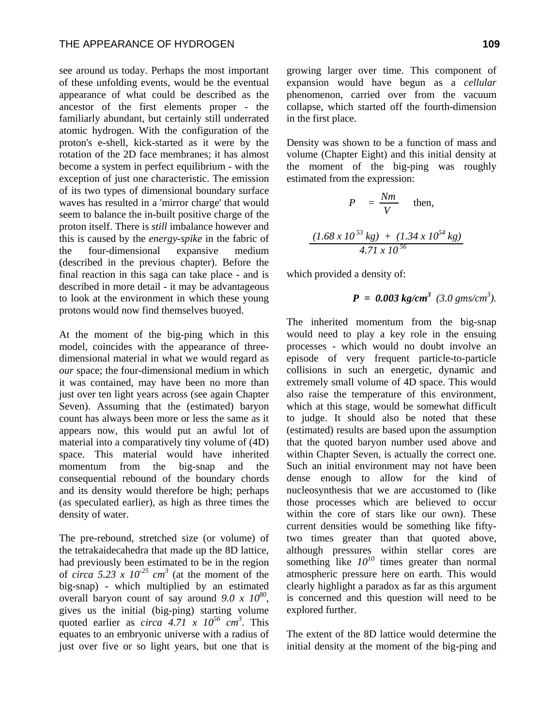see around us today. Perhaps the most important of these unfolding events, would be the eventual appearance of what could be described as the ancestor of the first elements proper - the familiarly abundant, but certainly still underrated atomic hydrogen. With the configuration of the proton's e-shell, kick-started as it were by the rotation of the 2D face membranes; it has almost become a system in perfect equilibrium - with the exception of just one characteristic. The emission of its two types of dimensional boundary surface waves has resulted in a 'mirror charge' that would seem to balance the in-built positive charge of the proton itself. There is *still* imbalance however and this is caused by the *energy-spike* in the fabric of the four-dimensional expansive medium (described in the previous chapter). Before the final reaction in this saga can take place - and is described in more detail - it may be advantageous to look at the environment in which these young protons would now find themselves buoyed.

At the moment of the big-ping which in this model, coincides with the appearance of threedimensional material in what we would regard as *our* space; the four-dimensional medium in which it was contained, may have been no more than just over ten light years across (see again Chapter Seven). Assuming that the (estimated) baryon count has always been more or less the same as it appears now, this would put an awful lot of material into a comparatively tiny volume of (4D) space. This material would have inherited momentum from the big-snap and the consequential rebound of the boundary chords and its density would therefore be high; perhaps (as speculated earlier), as high as three times the density of water.

The pre-rebound, stretched size (or volume) of the tetrakaidecahedra that made up the 8D lattice, had previously been estimated to be in the region of *circa* 5.23 x  $10^{25}$  cm<sup>3</sup> (at the moment of the big-snap) - which multiplied by an estimated overall baryon count of say around *9.0 x 10<sup>80</sup>*, gives us the initial (big-ping) starting volume quoted earlier as *circa*  $4.71 \times 10^{56}$  *cm<sup>3</sup>*. This equates to an embryonic universe with a radius of just over five or so light years, but one that is

growing larger over time. This component of expansion would have begun as a *cellular* phenomenon, carried over from the vacuum collapse, which started off the fourth-dimension in the first place.

Density was shown to be a function of mass and volume (Chapter Eight) and this initial density at the moment of the big-ping was roughly estimated from the expression:

$$
P = \frac{Nm}{V} \text{ then,}
$$
  

$$
\frac{(1.68 \times 10^{53} \text{ kg}) + (1.34 \times 10^{54} \text{ kg})}{4.71 \times 10^{56}}
$$

which provided a density of:

$$
P = 0.003 \text{ kg/cm}^3 \ (3.0 \text{ gms/cm}^3).
$$

The inherited momentum from the big-snap would need to play a key role in the ensuing processes - which would no doubt involve an episode of very frequent particle-to-particle collisions in such an energetic, dynamic and extremely small volume of 4D space. This would also raise the temperature of this environment, which at this stage, would be somewhat difficult to judge. It should also be noted that these (estimated) results are based upon the assumption that the quoted baryon number used above and within Chapter Seven, is actually the correct one. Such an initial environment may not have been dense enough to allow for the kind of nucleosynthesis that we are accustomed to (like those processes which are believed to occur within the core of stars like our own). These current densities would be something like fiftytwo times greater than that quoted above, although pressures within stellar cores are something like  $10^{10}$  times greater than normal atmospheric pressure here on earth. This would clearly highlight a paradox as far as this argument is concerned and this question will need to be explored further.

The extent of the 8D lattice would determine the initial density at the moment of the big-ping and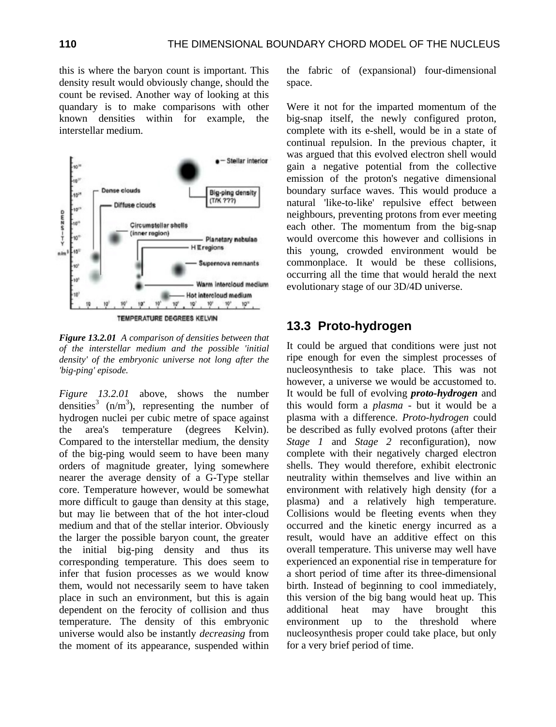this is where the baryon count is important. This density result would obviously change, should the count be revised. Another way of looking at this quandary is to make comparisons with other known densities within for example, the interstellar medium.



*Figure 13.2.01 A comparison of densities between that of the interstellar medium and the possible 'initial density' of the embryonic universe not long after the 'big-ping' episode.* 

*Figure 13.2.01* above, shows the number densities<sup>3</sup> ( $n/m<sup>3</sup>$ ), representing the number of hydrogen nuclei per cubic metre of space against the area's temperature (degrees Kelvin). Compared to the interstellar medium, the density of the big-ping would seem to have been many orders of magnitude greater, lying somewhere nearer the average density of a G-Type stellar core. Temperature however, would be somewhat more difficult to gauge than density at this stage, but may lie between that of the hot inter-cloud medium and that of the stellar interior. Obviously the larger the possible baryon count, the greater the initial big-ping density and thus its corresponding temperature. This does seem to infer that fusion processes as we would know them, would not necessarily seem to have taken place in such an environment, but this is again dependent on the ferocity of collision and thus temperature. The density of this embryonic universe would also be instantly *decreasing* from the moment of its appearance, suspended within

the fabric of (expansional) four-dimensional space.

Were it not for the imparted momentum of the big-snap itself, the newly configured proton, complete with its e-shell, would be in a state of continual repulsion. In the previous chapter, it was argued that this evolved electron shell would gain a negative potential from the collective emission of the proton's negative dimensional boundary surface waves. This would produce a natural 'like-to-like' repulsive effect between neighbours, preventing protons from ever meeting each other. The momentum from the big-snap would overcome this however and collisions in this young, crowded environment would be commonplace. It would be these collisions, occurring all the time that would herald the next evolutionary stage of our 3D/4D universe.

#### **13.3 Proto-hydrogen**

It could be argued that conditions were just not ripe enough for even the simplest processes of nucleosynthesis to take place. This was not however, a universe we would be accustomed to. It would be full of evolving *proto-hydrogen* and this would form a *plasma* - but it would be a plasma with a difference. *Proto-hydrogen* could be described as fully evolved protons (after their *Stage 1* and *Stage 2* reconfiguration), now complete with their negatively charged electron shells. They would therefore, exhibit electronic neutrality within themselves and live within an environment with relatively high density (for a plasma) and a relatively high temperature. Collisions would be fleeting events when they occurred and the kinetic energy incurred as a result, would have an additive effect on this overall temperature. This universe may well have experienced an exponential rise in temperature for a short period of time after its three-dimensional birth. Instead of beginning to cool immediately, this version of the big bang would heat up. This additional heat may have brought this environment up to the threshold where nucleosynthesis proper could take place, but only for a very brief period of time.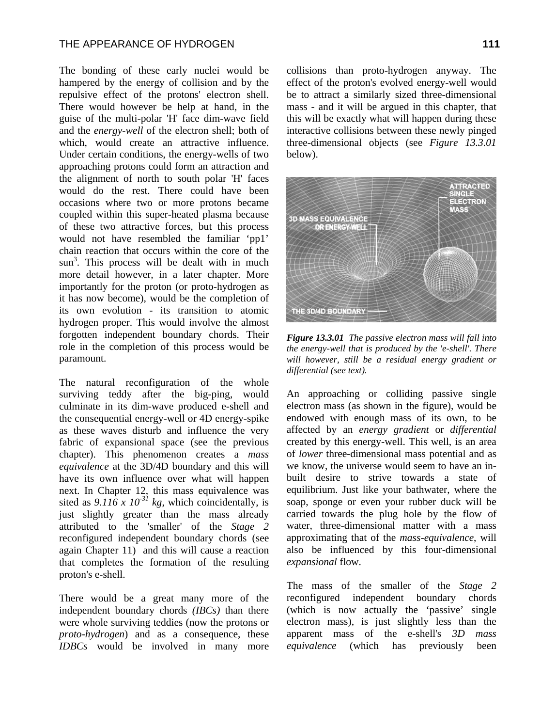#### THE APPEARANCE OF HYDROGEN **111**

The bonding of these early nuclei would be hampered by the energy of collision and by the repulsive effect of the protons' electron shell. There would however be help at hand, in the guise of the multi-polar 'H' face dim-wave field and the *energy-well* of the electron shell; both of which, would create an attractive influence. Under certain conditions, the energy-wells of two approaching protons could form an attraction and the alignment of north to south polar 'H' faces would do the rest. There could have been occasions where two or more protons became coupled within this super-heated plasma because of these two attractive forces, but this process would not have resembled the familiar 'pp1' chain reaction that occurs within the core of the  $sun<sup>3</sup>$ . This process will be dealt with in much more detail however, in a later chapter. More importantly for the proton (or proto-hydrogen as it has now become), would be the completion of its own evolution - its transition to atomic hydrogen proper. This would involve the almost forgotten independent boundary chords. Their role in the completion of this process would be paramount.

The natural reconfiguration of the whole surviving teddy after the big-ping, would culminate in its dim-wave produced e-shell and the consequential energy-well or 4D energy-spike as these waves disturb and influence the very fabric of expansional space (see the previous chapter). This phenomenon creates a *mass equivalence* at the 3D/4D boundary and this will have its own influence over what will happen next. In Chapter 12, this mass equivalence was sited as  $9.116 \times 10^{-31}$  kg, which coincidentally, is just slightly greater than the mass already attributed to the 'smaller' of the *Stage 2* reconfigured independent boundary chords (see again Chapter 11) and this will cause a reaction that completes the formation of the resulting proton's e-shell.

There would be a great many more of the independent boundary chords *(IBCs)* than there were whole surviving teddies (now the protons or *proto-hydrogen*) and as a consequence, these *IDBCs* would be involved in many more

collisions than proto-hydrogen anyway. The effect of the proton's evolved energy-well would be to attract a similarly sized three-dimensional mass - and it will be argued in this chapter, that this will be exactly what will happen during these interactive collisions between these newly pinged three-dimensional objects (see *Figure 13.3.01*  below).



*Figure 13.3.01 The passive electron mass will fall into the energy-well that is produced by the 'e-shell'. There will however, still be a residual energy gradient or differential (see text).* 

An approaching or colliding passive single electron mass (as shown in the figure), would be endowed with enough mass of its own, to be affected by an *energy gradient* or *differential* created by this energy-well. This well, is an area of *lower* three-dimensional mass potential and as we know, the universe would seem to have an inbuilt desire to strive towards a state of equilibrium. Just like your bathwater, where the soap, sponge or even your rubber duck will be carried towards the plug hole by the flow of water, three-dimensional matter with a mass approximating that of the *mass-equivalence*, will also be influenced by this four-dimensional *expansional* flow.

The mass of the smaller of the *Stage 2* reconfigured independent boundary chords (which is now actually the 'passive' single electron mass), is just slightly less than the apparent mass of the e-shell's *3D mass equivalence* (which has previously been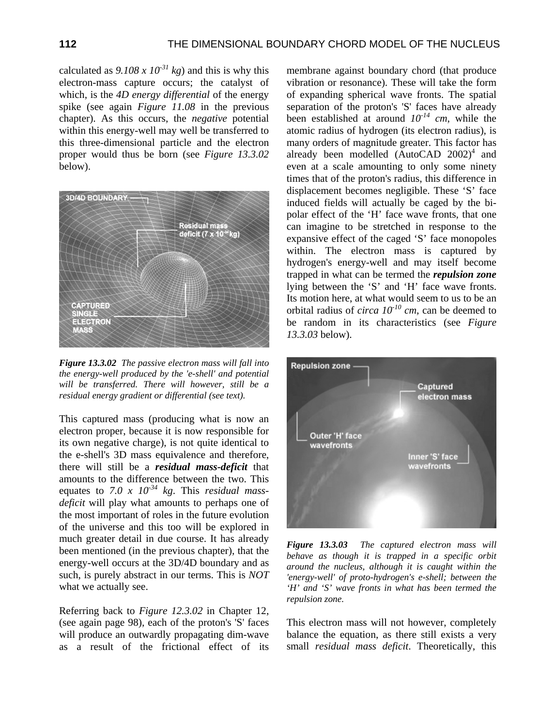calculated as  $9.108 \times 10^{-31}$  kg) and this is why this electron-mass capture occurs; the catalyst of which, is the *4D energy differential* of the energy spike (see again *Figure 11.08* in the previous chapter). As this occurs, the *negative* potential within this energy-well may well be transferred to this three-dimensional particle and the electron proper would thus be born (see *Figure 13.3.02* below).



*Figure 13.3.02 The passive electron mass will fall into the energy-well produced by the 'e-shell' and potential will be transferred. There will however, still be a residual energy gradient or differential (see text).* 

This captured mass (producing what is now an electron proper, because it is now responsible for its own negative charge), is not quite identical to the e-shell's 3D mass equivalence and therefore, there will still be a *residual mass-deficit* that amounts to the difference between the two. This equates to *7.0 x 10-34 kg*. This *residual massdeficit* will play what amounts to perhaps one of the most important of roles in the future evolution of the universe and this too will be explored in much greater detail in due course. It has already been mentioned (in the previous chapter), that the energy-well occurs at the 3D/4D boundary and as such, is purely abstract in our terms. This is *NOT* what we actually see.

Referring back to *Figure 12.3.02* in Chapter 12, (see again page 98), each of the proton's 'S' faces will produce an outwardly propagating dim-wave as a result of the frictional effect of its

membrane against boundary chord (that produce vibration or resonance). These will take the form of expanding spherical wave fronts. The spatial separation of the proton's 'S' faces have already been established at around *10-14 cm*, while the atomic radius of hydrogen (its electron radius), is many orders of magnitude greater. This factor has already been modelled  $(AutoCAD 2002)^4$  and even at a scale amounting to only some ninety times that of the proton's radius, this difference in displacement becomes negligible. These 'S' face induced fields will actually be caged by the bipolar effect of the 'H' face wave fronts, that one can imagine to be stretched in response to the expansive effect of the caged 'S' face monopoles within. The electron mass is captured by hydrogen's energy-well and may itself become trapped in what can be termed the *repulsion zone*  lying between the 'S' and 'H' face wave fronts. Its motion here, at what would seem to us to be an orbital radius of *circa 10-10 cm,* can be deemed to be random in its characteristics (see *Figure 13.3.03* below).



*Figure 13.3.03 The captured electron mass will behave as though it is trapped in a specific orbit around the nucleus, although it is caught within the 'energy-well' of proto-hydrogen's e-shell; between the 'H' and 'S' wave fronts in what has been termed the repulsion zone.* 

This electron mass will not however, completely balance the equation, as there still exists a very small *residual mass deficit*. Theoretically, this